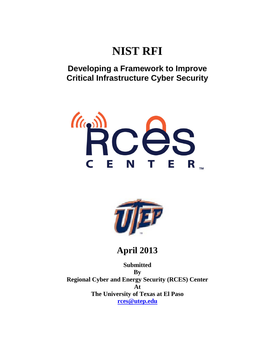# **NIST RFI**

# **Developing a Framework to Improve Critical Infrastructure Cyber Security**





**April 2013**

**Submitted By Regional Cyber and Energy Security (RCES) Center At The University of Texas at El Paso [rces@utep.edu](mailto:rces@utep.edu)**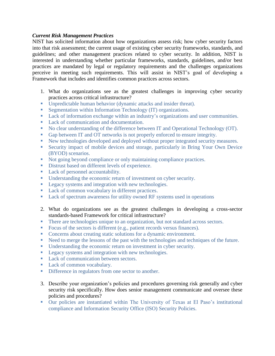### *Current Risk Management Practices*

NIST has solicited information about how organizations assess risk; how cyber security factors into that risk assessment; the current usage of existing cyber security frameworks, standards, and guidelines; and other management practices related to cyber security. In addition, NIST is interested in understanding whether particular frameworks, standards, guidelines, and/or best practices are mandated by legal or regulatory requirements and the challenges organizations perceive in meeting such requirements. This will assist in NIST's goal of developing a Framework that includes and identifies common practices across sectors.

- 1. What do organizations see as the greatest challenges in improving cyber security practices across critical infrastructure?
- Unpredictable human behavior (dynamic attacks and insider threat).
- **Segmentation within Information Technology (IT) organizations.**
- **Lack of information exchange within an industry's organizations and user communities.**
- Lack of communication and documentation.
- No clear understanding of the difference between IT and Operational Technology (OT).
- Gap between IT and OT networks is not properly enforced to ensure integrity.
- New technologies developed and deployed without proper integrated security measures.
- Security impact of mobile devices and storage, particularly in Bring Your Own Device (BYOD) scenarios.
- Not going beyond compliance or only maintaining compliance practices.
- Distrust based on different levels of experience.
- Lack of personnel accountability.
- Understanding the economic return of investment on cyber security.
- **Legacy systems and integration with new technologies.**
- **Lack of common vocabulary in different practices.**
- Lack of spectrum awareness for utility owned RF systems used in operations
- 2. What do organizations see as the greatest challenges in developing a cross-sector standards-based Framework for critical infrastructure?
- There are technologies unique to an organization, but not standard across sectors.
- Focus of the sectors is different (e.g., patient records versus finances).
- Concerns about creating static solutions for a dynamic environment.
- Need to merge the lessons of the past with the technologies and techniques of the future.
- Understanding the economic return on investment in cyber security.
- **Legacy systems and integration with new technologies.**
- Lack of communication between sectors.
- **Lack of common vocabulary.**
- Difference in regulators from one sector to another.
- 3. Describe your organization's policies and procedures governing risk generally and cyber security risk specifically. How does senior management communicate and oversee these policies and procedures?
- Our policies are instantiated within The University of Texas at El Paso's institutional compliance and Information Security Office (ISO) Security Policies.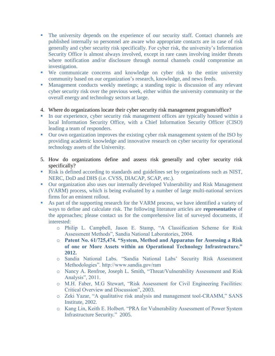- The university depends on the experience of our security staff. Contact channels are published internally so personnel are aware who appropriate contacts are in case of risk generally and cyber security risk specifically. For cyber risk, the university's Information Security Office is almost always involved, except in rare cases involving insider threats where notification and/or disclosure through normal channels could compromise an investigation.
- We communicate concerns and knowledge on cyber risk to the entire university community based on our organization's research, knowledge, and news feeds.
- Management conducts weekly meetings; a standing topic is discussion of any relevant cyber security risk over the previous week, either within the university community or the overall energy and technology sectors at large.
- 4. Where do organizations locate their cyber security risk management program/office?
- In our experience, cyber security risk management offices are typically housed within a local Information Security Office, with a Chief Information Security Officer (CISO) leading a team of responders.
- Our own organization improves the existing cyber risk management system of the ISO by providing academic knowledge and innovative research on cyber security for operational technology assets of the University.
- 5. How do organizations define and assess risk generally and cyber security risk specifically?
- Risk is defined according to standards and guidelines set by organizations such as NIST, NERC, DoD and DHS (i.e. CVSS, DIACAP, SCAP, etc.).
- Our organization also uses our internally developed Vulnerability and Risk Management (VARM) process, which is being evaluated by a number of large multi-national services firms for an eminent rollout.
- As part of the supporting research for the VARM process, we have identified a variety of ways to define and calculate risk. The following literature articles are **representative** of the approaches; please contact us for the comprehensive list of surveyed documents, if interested:
	- o Philip L. Campbell, Jason E. Stamp, "A Classification Scheme for Risk Assessment Methods", Sandia National Laboratories, 2004.
	- o **Patent No. 61/725,474. "System, Method and Apparatus for Assessing a Risk of one or More Assets within an Operational Technology Infrastructure." 2012.**
	- o Sandia National Labs. "Sandia National Labs' Security Risk Assessment Methodologies". http://www.sandia.gov/ram
	- o Nancy A. Renfroe, Joseph L. Smith, "Threat/Vulnerability Assessment and Risk Analysis", 2011.
	- o M.H. Faber, M.G Stewart, "Risk Assessment for Civil Engineering Facilities: Critical Overview and Discussion", 2003.
	- o Zeki Yazar, "A qualitative risk analysis and management tool-CRAMM," SANS Institute, 2002.
	- o Kang Lin, Keith E. Holbert. "PRA for Vulnerability Assessment of Power System Infrastructure Security." 2005.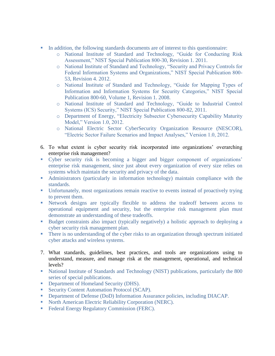- In addition, the following standards documents are of interest to this questionnaire:
	- o National Institute of Standard and Technology, "Guide for Conducting Risk Assessment," NIST Special Publication 800-30, Revision 1. 2011.
	- o National Institute of Standard and Technology, "Security and Privacy Controls for Federal Information Systems and Organizations," NIST Special Publication 800- 53, Revision 4. 2012.
	- o National Institute of Standard and Technology, "Guide for Mapping Types of Information and Information Systems for Security Categories," NIST Special Publication 800-60, Volume 1, Revision 1. 2008.
	- o National Institute of Standard and Technology, "Guide to Industrial Control Systems (ICS) Security," NIST Special Publication 800-82, 2011.
	- o Department of Energy, "Electricity Subsector Cybersecurity Capability Maturity Model," Version 1.0, 2012.
	- o National Electric Sector CyberSecurity Organization Resource (NESCOR), "Electric Sector Failure Scenarios and Impact Analyses," Version 1.0, 2012.
- 6. To what extent is cyber security risk incorporated into organizations' overarching enterprise risk management?
- Cyber security risk is becoming a bigger and bigger component of organizations' enterprise risk management, since just about every organization of every size relies on systems which maintain the security and privacy of the data.
- Administrators (particularly in information technology) maintain compliance with the standards.
- Unfortunately, most organizations remain reactive to events instead of proactively trying to prevent them.
- Network designs are typically flexible to address the tradeoff between access to operational equipment and security, but the enterprise risk management plan must demonstrate an understanding of these tradeoffs.
- Budget constraints also impact (typically negatively) a holistic approach to deploying a cyber security risk management plan.
- There is no understanding of the cyber risks to an organization through spectrum initiated cyber attacks and wireless systems.
- 7. What standards, guidelines, best practices, and tools are organizations using to understand, measure, and manage risk at the management, operational, and technical levels?
- National Institute of Standards and Technology (NIST) publications, particularly the 800 series of special publications.
- Department of Homeland Security (DHS).
- Security Content Automation Protocol (SCAP).
- Department of Defense (DoD) Information Assurance policies, including DIACAP.
- North American Electric Reliability Corporation (NERC).
- Federal Energy Regulatory Commission (FERC).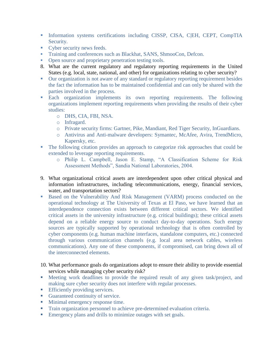- Information systems certifications including CISSP, CISA, C|EH, CEPT, CompTIA Security.
- Cyber security news feeds.
- Training and conferences such as Blackhat, SANS, ShmooCon, Defcon.
- Open source and proprietary penetration testing tools.
- 8. What are the current regulatory and regulatory reporting requirements in the United States (e.g. local, state, national, and other) for organizations relating to cyber security?
- Our organization is not aware of any standard or regulatory reporting requirement besides the fact the information has to be maintained confidential and can only be shared with the parties involved in the process.
- Each organization implements its own reporting requirements. The following organizations implement reporting requirements when providing the results of their cyber studies:
	- o DHS, CIA, FBI, NSA.
	- o Infragard.
	- o Private security firms: Gartner, Pike, Mandiant, Red Tiger Security, InGuardians.
	- o Antivirus and Anti-malware developers: Symantec, McAfee, Avira, TrendMicro, Kapersky, etc.
- The following citation provides an approach to categorize risk approaches that could be extended to leverage reporting requirements.
	- o Philip L. Campbell, Jason E. Stamp, "A Classification Scheme for Risk Assessment Methods", Sandia National Laboratories, 2004.
- 9. What organizational critical assets are interdependent upon other critical physical and information infrastructures, including telecommunications, energy, financial services, water, and transportation sectors?
- **Based on the Vulnerability And Risk Management (VARM) process conducted on the** operational technology at The University of Texas at El Paso, we have learned that an interdependence connection exists between different critical sectors. We identified critical assets in the university infrastructure (e.g. critical buildings); these critical assets depend on a reliable energy source to conduct day-to-day operations. Such energy sources are typically supported by operational technology that is often controlled by cyber components (e.g. human machine interfaces, standalone computers, etc.) connected through various communication channels (e.g. local area network cables, wireless communications). Any one of these components, if compromised, can bring down all of the interconnected elements.
- 10. What performance goals do organizations adopt to ensure their ability to provide essential services while managing cyber security risk?
- Meeting work deadlines to provide the required result of any given task/project, and making sure cyber security does not interfere with regular processes.
- **Efficiently providing services.**
- Guaranteed continuity of service.
- **Minimal emergency response time.**
- **Train organization personnel to achieve pre-determined evaluation criteria.**
- Emergency plans and drills to minimize outages with set goals.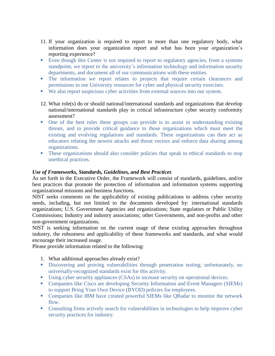- 11. If your organization is required to report to more than one regulatory body, what information does your organization report and what has been your organization's reporting experience?
- Even though this Center is not required to report to regulatory agencies, from a systems standpoint, we report to the university's information technology and information security departments, and document all of our communications with these entities.
- The information we report relates to projects that require certain clearances and permissions to use University resources for cyber and physical security exercises.
- We also report suspicious cyber activities from external sources into our system.
- 12. What role(s) do or should national/international standards and organizations that develop national/international standards play in critical infrastructure cyber security conformity assessment?
- One of the best roles these groups can provide is to assist in understanding existing threats, and to provide critical guidance to those organizations which must meet the existing and evolving regulations and standards. These organizations can then act as educators relating the newest attacks and threat vectors and enforce data sharing among organizations.
- **These organizations should also consider policies that speak to ethical standards to stop** unethical practices.

# *Use of Frameworks, Standards, Guidelines, and Best Practices*

As set forth in the Executive Order, the Framework will consist of standards, guidelines, and/or best practices that promote the protection of information and information systems supporting organizational missions and business functions.

NIST seeks comments on the applicability of existing publications to address cyber security needs, including, but not limited to the documents developed by: international standards organizations; U.S. Government Agencies and organizations; State regulators or Public Utility Commissions; Industry and industry associations; other Governments, and non-profits and other non-government organizations.

NIST is seeking information on the current usage of these existing approaches throughout industry, the robustness and applicability of these frameworks and standards, and what would encourage their increased usage.

Please provide information related to the following:

- 1. What additional approaches already exist?
- Discovering and proving vulnerabilities through penetration testing; unfortunately, no universally-recognized standards exist for this activity.
- Using cyber security appliances (CSAs) to increase security on operational devices.
- Companies like Cisco are developing Security Information and Event Managers (SIEMs) to support Bring Your Own Device (BYOD) policies for employees.
- Companies like IBM have created powerful SIEMs like QRadar to monitor the network flow.
- Consulting firms actively search for vulnerabilities in technologies to help improve cyber security practices for industry.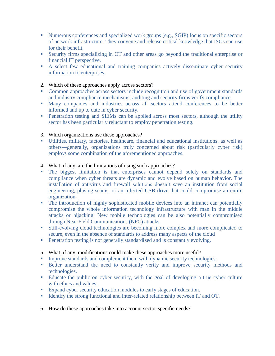- Numerous conferences and specialized work groups (e.g., SGIP) focus on specific sectors of network infrastructure. They convene and release critical knowledge that ISOs can use for their benefit.
- Security firms specializing in OT and other areas go beyond the traditional enterprise or financial IT perspective.
- A select few educational and training companies actively disseminate cyber security information to enterprises.
- 2. Which of these approaches apply across sectors?
- Common approaches across sectors include recognition and use of government standards and industry compliance mechanisms; auditing and security firms verify compliance.
- Many companies and industries across all sectors attend conferences to be better informed and up to date in cyber security.
- **Penetration testing and SIEMs can be applied across most sectors, although the utility** sector has been particularly reluctant to employ penetration testing.
- 3. Which organizations use these approaches?
- Utilities, military, factories, healthcare, financial and educational institutions, as well as others—generally, organizations truly concerned about risk (particularly cyber risk) employs some combination of the aforementioned approaches.
- 4. What, if any, are the limitations of using such approaches?
- The biggest limitation is that enterprises cannot depend solely on standards and compliance when cyber threats are dynamic and evolve based on human behavior. The installation of antivirus and firewall solutions doesn't save an institution from social engineering, phising scams, or an infected USB drive that could compromise an entire organization.
- The introduction of highly sophisticated mobile devices into an intranet can potentially compromise the whole information technology infrastructure with man in the middle attacks or hijacking. New mobile technologies can be also potentially compromised through Near Field Communications (NFC) attacks.
- Still-evolving cloud technologies are becoming more complex and more complicated to secure, even in the absence of standards to address many aspects of the cloud
- Penetration testing is not generally standardized and is constantly evolving.

### 5. What, if any, modifications could make these approaches more useful?

- **Improve standards and complement them with dynamic security technologies.**
- Better understand the need to constantly verify and improve security methods and technologies.
- Educate the public on cyber security, with the goal of developing a true cyber culture with ethics and values.
- Expand cyber security education modules to early stages of education.
- Identify the strong functional and inter-related relationship between IT and OT.
- 6. How do these approaches take into account sector-specific needs?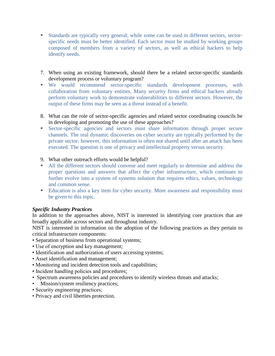- Standards are typically very general; while some can be used in different sectors, sectorspecific needs must be better identified. Each sector must be studied by working groups composed of members from a variety of sectors, as well as ethical hackers to help identify needs.
- 7. When using an existing framework, should there be a related sector-specific standards development process or voluntary program?
- We would recommend sector-specific standards development processes, with collaboration from voluntary entities. Many security firms and ethical hackers already perform voluntary work to demonstrate vulnerabilities to different sectors. However, the output of these firms may be seen as a threat instead of a benefit.
- 8. What can the role of sector-specific agencies and related sector coordinating councils be in developing and promoting the use of these approaches?
- Sector-specific agencies and sectors must share information through proper secure channels. The real dynamic discoveries on cyber security are typically performed by the private sector; however, this information is often not shared until after an attack has been executed. The question is one of privacy and intellectual property versus security.
- 9. What other outreach efforts would be helpful?
- All the different sectors should convene and meet regularly to determine and address the proper questions and answers that affect the cyber infrastructure, which continues to further evolve into a system of systems solution that requires ethics, values, technology and common sense.
- Education is also a key item for cyber security. More awareness and responsibility must be given to this topic.

## *Specific Industry Practices*

In addition to the approaches above, NIST is interested in identifying core practices that are broadly applicable across sectors and throughout industry.

NIST is interested in information on the adoption of the following practices as they pertain to critical infrastructure components:

- Separation of business from operational systems;
- Use of encryption and key management;
- Identification and authorization of users accessing systems;
- Asset identification and management;
- Monitoring and incident detection tools and capabilities;
- Incident handling policies and procedures;
- Spectrum awareness policies and procedures to identify wireless threats and attacks;
- Mission/system resiliency practices;
- Security engineering practices;
- Privacy and civil liberties protection.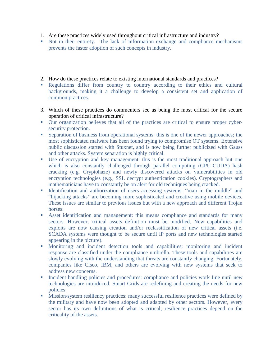- 1. Are these practices widely used throughout critical infrastructure and industry?
- Not in their entirety. The lack of information exchange and compliance mechanisms prevents the faster adoption of such concepts in industry.
- 2. How do these practices relate to existing international standards and practices?
- Regulations differ from country to country according to their ethics and cultural backgrounds, making it a challenge to develop a consistent set and application of common practices.
- 3. Which of these practices do commenters see as being the most critical for the secure operation of critical infrastructure?
- Our organization believes that all of the practices are critical to ensure proper cybersecurity protection.
- Separation of business from operational systems: this is one of the newer approaches; the most sophisticated malware has been found trying to compromise OT systems. Extensive public discussion started with Stuxnet, and is now being further publicized with Gauss and other attacks. System separation is highly critical.
- Use of encryption and key management: this is the most traditional approach but one which is also constantly challenged through parallel computing (GPU-CUDA) hash cracking (e.g. Cryptohaze) and newly discovered attacks on vulnerabilities in old encryption technologies (e.g., SSL decrypt authentication cookies). Cryptographers and mathematicians have to constantly be on alert for old techniques being cracked.
- Identification and authorization of users accessing systems: "man in the middle" and "hijacking attacks" are becoming more sophisticated and creative using mobile devices. These issues are similar to previous issues but with a new approach and different Trojan horses.
- Asset identification and management: this means compliance and standards for many sectors. However, critical assets definition must be modified. New capabilities and exploits are now causing creation and/or reclassification of new critical assets (i.e. SCADA systems were thought to be secure until IP ports and new technologies started appearing in the picture).
- Monitoring and incident detection tools and capabilities: monitoring and incident response are classified under the compliance umbrella. These tools and capabilities are slowly evolving with the understanding that threats are constantly changing. Fortunately, companies like Cisco, IBM, and others are evolving with new systems that seek to address new concerns.
- Incident handling policies and procedures: compliance and policies work fine until new technologies are introduced. Smart Grids are redefining and creating the needs for new policies.
- Mission/system resiliency practices: many successful resilience practices were defined by the military and have now been adopted and adapted by other sectors. However, every sector has its own definitions of what is critical; resilience practices depend on the criticality of the assets.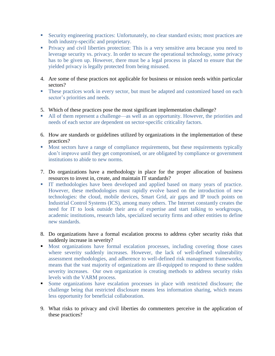- Security engineering practices: Unfortunately, no clear standard exists; most practices are both industry-specific and proprietary.
- **Privacy and civil liberties protection:** This is a very sensitive area because you need to leverage security vs. privacy. In order to secure the operational technology, some privacy has to be given up. However, there must be a legal process in placed to ensure that the yielded privacy is legally protected from being misused.
- 4. Are some of these practices not applicable for business or mission needs within particular sectors?
- These practices work in every sector, but must be adapted and customized based on each sector's priorities and needs.
- 5. Which of these practices pose the most significant implementation challenge?
- All of them represent a challenge—as well as an opportunity. However, the priorities and needs of each sector are dependent on sector-specific criticality factors.
- 6. How are standards or guidelines utilized by organizations in the implementation of these practices?
- Most sectors have a range of compliance requirements, but these requirements typically don't improve until they get compromised, or are obligated by compliance or government institutions to abide to new norms.
- 7. Do organizations have a methodology in place for the proper allocation of business resources to invest in, create, and maintain IT standards?
- IT methodologies have been developed and applied based on many years of practice. However, these methodologies must rapidly evolve based on the introduction of new technologies: the cloud, mobile devices, Smart Grid, air gaps and IP touch points on Industrial Control Systems (ICS), among many others. The Internet constantly creates the need for IT to look outside their area of expertise and start talking to workgroups, academic institutions, research labs, specialized security firms and other entities to define new standards.
- 8. Do organizations have a formal escalation process to address cyber security risks that suddenly increase in severity?
- Most organizations have formal escalation processes, including covering those cases where severity suddenly increases. However, the lack of well-defined vulnerability assessment methodologies, and adherence to well-defined risk management frameworks, means that the vast majority of organizations are ill-equipped to respond to these sudden severity increases. Our own organization is creating methods to address security risks levels with the VARM process.
- Some organizations have escalation processes in place with restricted disclosure; the challenge being that restricted disclosure means less information sharing, which means less opportunity for beneficial collaboration.
- 9. What risks to privacy and civil liberties do commenters perceive in the application of these practices?